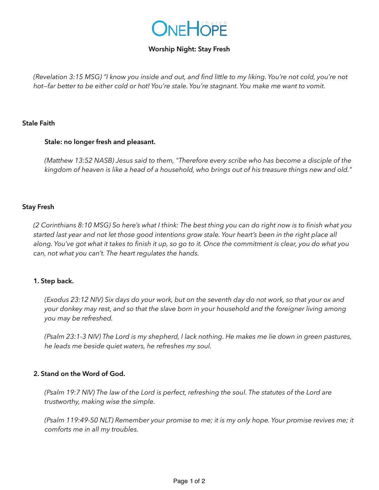

# **Worship Night: Stay Fresh**

*(Revelation 3:15 MSG) "I know you inside and out, and find little to my liking. You're not cold, you're not hot—far better to be either cold or hot! You're stale. You're stagnant. You make me want to vomit.*

#### **Stale Faith**

#### **Stale: no longer fresh and pleasant.**

*(Matthew 13:52 NASB) Jesus said to them, "Therefore every scribe who has become a disciple of the kingdom of heaven is like a head of a household, who brings out of his treasure things new and old."*

### **Stay Fresh**

*(2 Corinthians 8:10 MSG) So here's what I think: The best thing you can do right now is to finish what you started last year and not let those good intentions grow stale. Your heart's been in the right place all along. You've got what it takes to finish it up, so go to it. Once the commitment is clear, you do what you can, not what you can't. The heart regulates the hands.*

#### **1. Step back.**

*(Exodus 23:12 NIV) Six days do your work, but on the seventh day do not work, so that your ox and your donkey may rest, and so that the slave born in your household and the foreigner living among you may be refreshed.*

*(Psalm 23:1-3 NIV) The Lord is my shepherd, I lack nothing. He makes me lie down in green pastures, he leads me beside quiet waters, he refreshes my soul.*

#### **2. Stand on the Word of God.**

*(Psalm 19:7 NIV) The law of the Lord is perfect, refreshing the soul. The statutes of the Lord are trustworthy, making wise the simple.*

*(Psalm 119:49-50 NLT) Remember your promise to me; it is my only hope. Your promise revives me; it comforts me in all my troubles.*